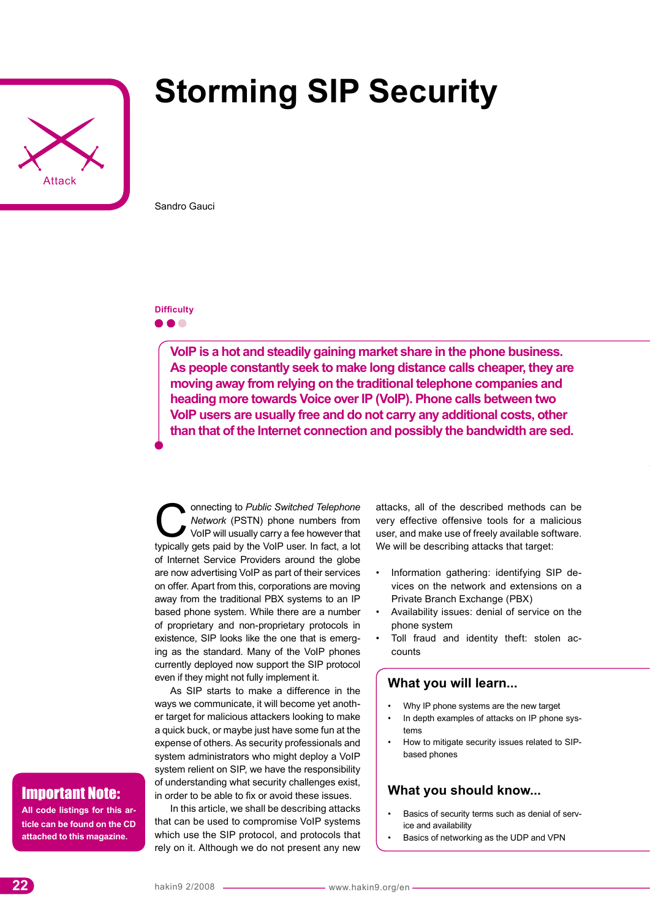

# **Storming SIP Security**

Sandro Gauci

## **Difficulty**

. . .

**VoIP is a hot and steadily gaining market share in the phone business. As people constantly seek to make long distance calls cheaper, they are moving away from relying on the traditional telephone companies and heading more towards Voice over IP (VoIP). Phone calls between two VoIP users are usually free and do not carry any additional costs, other than that of the Internet connection and possibly the bandwidth are sed.** 

Connecting to *Public Switched Telephone Network* (PSTN) phone numbers from VoIP will usually carry a fee however that typically gets paid by the VoIP user. In fact, a lot of Internet Service Providers around the globe are now advertising VoIP as part of their services on offer. Apart from this, corporations are moving away from the traditional PBX systems to an IP based phone system. While there are a number of proprietary and non-proprietary protocols in existence, SIP looks like the one that is emerging as the standard. Many of the VoIP phones currently deployed now support the SIP protocol even if they might not fully implement it.

As SIP starts to make a difference in the ways we communicate, it will become yet another target for malicious attackers looking to make a quick buck, or maybe just have some fun at the expense of others. As security professionals and system administrators who might deploy a VoIP system relient on SIP, we have the responsibility of understanding what security challenges exist, in order to be able to fix or avoid these issues.

In this article, we shall be describing attacks that can be used to compromise VoIP systems which use the SIP protocol, and protocols that rely on it. Although we do not present any new

attacks, all of the described methods can be very effective offensive tools for a malicious user, and make use of freely available software. We will be describing attacks that target:

- Information gathering: identifying SIP devices on the network and extensions on a Private Branch Exchange (PBX)
- Availability issues: denial of service on the phone system
- Toll fraud and identity theft: stolen accounts

#### **What you will learn...**

- Why IP phone systems are the new target
- In depth examples of attacks on IP phone systems
- How to mitigate security issues related to SIPbased phones

# **What you should know...**

- Basics of security terms such as denial of service and availability
- Basics of networking as the UDP and VPN

# Important Note:

**All code listings for this article can be found on the CD attached to this magazine.**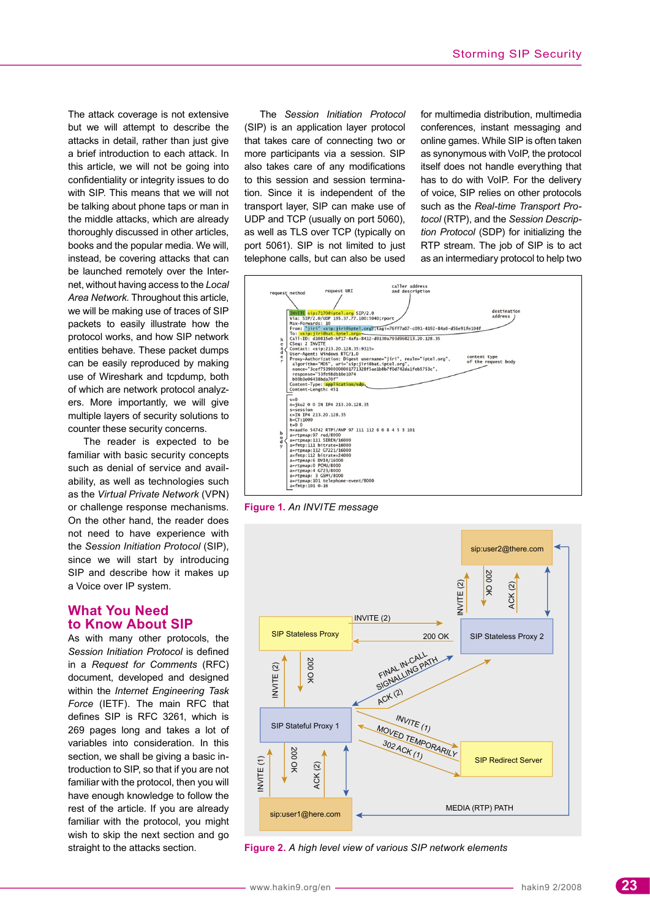The attack coverage is not extensive but we will attempt to describe the attacks in detail, rather than just give a brief introduction to each attack. In this article, we will not be going into confidentiality or integrity issues to do with SIP. This means that we will not be talking about phone taps or man in the middle attacks, which are already thoroughly discussed in other articles, books and the popular media. We will, instead, be covering attacks that can be launched remotely over the Internet, without having access to the *Local Area Network*. Throughout this article, we will be making use of traces of SIP packets to easily illustrate how the protocol works, and how SIP network entities behave. These packet dumps can be easily reproduced by making use of Wireshark and tcpdump, both of which are network protocol analyzers. More importantly, we will give multiple layers of security solutions to counter these security concerns.

The reader is expected to be familiar with basic security concepts such as denial of service and availability, as well as technologies such as the *Virtual Private Network* (VPN) or challenge response mechanisms. On the other hand, the reader does not need to have experience with the *Session Initiation Protocol* (SIP), since we will start by introducing SIP and describe how it makes up a Voice over IP system.

## **What You Need to Know About SIP**

As with many other protocols, the *Session Initiation Protocol* is defined in a *Request for Comments* (RFC) document, developed and designed within the *Internet Engineering Task Force* (IETF). The main RFC that defines SIP is RFC 3261, which is 269 pages long and takes a lot of variables into consideration. In this section, we shall be giving a basic introduction to SIP, so that if you are not familiar with the protocol, then you will have enough knowledge to follow the rest of the article. If you are already familiar with the protocol, you might wish to skip the next section and go straight to the attacks section.

The *Session Initiation Protocol* (SIP) is an application layer protocol that takes care of connecting two or more participants via a session. SIP also takes care of any modifications to this session and session termination. Since it is independent of the transport layer, SIP can make use of UDP and TCP (usually on port 5060), as well as TLS over TCP (typically on port 5061). SIP is not limited to just telephone calls, but can also be used

for multimedia distribution, multimedia conferences, instant messaging and online games. While SIP is often taken as synonymous with VoIP, the protocol itself does not handle everything that has to do with VoIP. For the delivery of voice, SIP relies on other protocols such as the *Real-time Transport Protocol* (RTP), and the *Session Description Protocol* (SDP) for initializing the RTP stream. The job of SIP is to act as an intermediary protocol to help two



**Figure 1.** *An INVITE message*



**Figure 2.** *A high level view of various SIP network elements*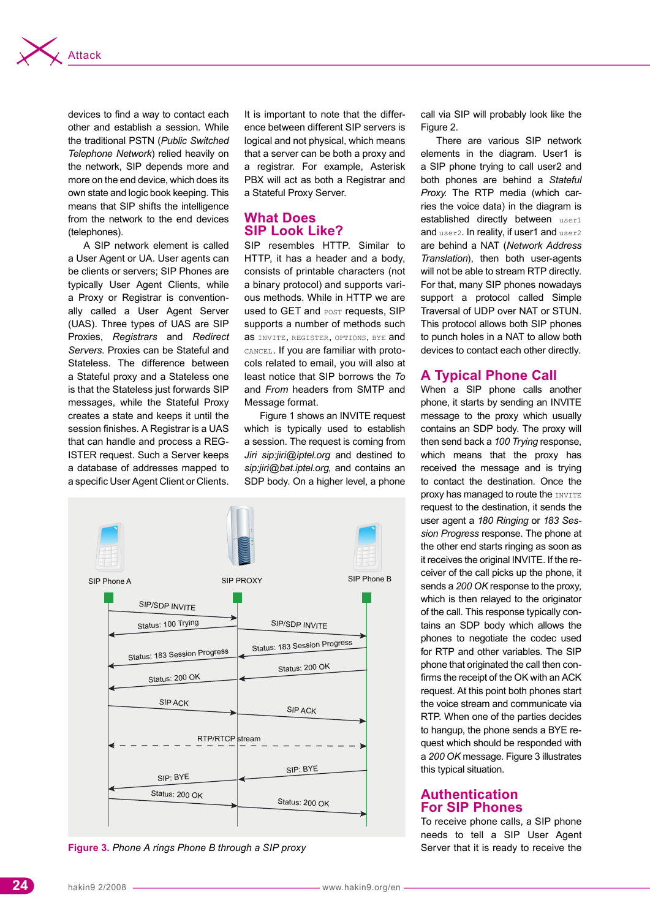

devices to find a way to contact each other and establish a session. While the traditional PSTN (Public Switched Telephone Network) relied heavily on the network, SIP depends more and more on the end device, which does its own state and logic book keeping. This means that SIP shifts the intelligence from the network to the end devices (telephones).

A SIP network element is called a User Agent or UA. User agents can be clients or servers; SIP Phones are typically User Agent Clients, while a Proxy or Registrar is conventionally called a User Agent Server (UAS). Three types of UAS are SIP Proxies, Registrars and Redirect Servers. Proxies can be Stateful and Stateless. The difference between a Stateful proxy and a Stateless one is that the Stateless just forwards SIP messages, while the Stateful Proxy creates a state and keeps it until the session finishes. A Registrar is a UAS that can handle and process a REG-ISTER request. Such a Server keeps a database of addresses mapped to a specific User Agent Client or Clients.

It is important to note that the difference between different SIP servers is logical and not physical, which means that a server can be both a proxy and a registrar. For example, Asterisk PBX will act as both a Registrar and a Stateful Proxy Server.

# **What Does SIP Look Like?**

SIP resembles HTTP. Similar to HTTP, it has a header and a body. consists of printable characters (not a binary protocol) and supports various methods. While in HTTP we are used to GET and POST requests, SIP supports a number of methods such as INVITE, REGISTER, OPTIONS, BYE and CANCEL. If you are familiar with protocols related to email, you will also at least notice that SIP borrows the To and From headers from SMTP and Message format.

Figure 1 shows an INVITE request which is typically used to establish a session. The request is coming from Jiri sip:jiri@iptel.org and destined to sip:jiri@bat.iptel.org, and contains an SDP body. On a higher level, a phone



Figure 3. Phone A rings Phone B through a SIP proxy

call via SIP will probably look like the Figure 2.

There are various SIP network elements in the diagram. User1 is a SIP phone trying to call user2 and both phones are behind a Stateful Proxy. The RTP media (which carries the voice data) in the diagram is established directly between user1 and user2. In reality, if user1 and user2 are behind a NAT (Network Address Translation), then both user-agents will not be able to stream RTP directly. For that, many SIP phones nowadays support a protocol called Simple Traversal of UDP over NAT or STUN. This protocol allows both SIP phones to punch holes in a NAT to allow both devices to contact each other directly.

# **A Typical Phone Call**

When a SIP phone calls another phone, it starts by sending an INVITE message to the proxy which usually contains an SDP body. The proxy will then send back a 100 Trying response, which means that the proxy has received the message and is trying to contact the destination. Once the proxy has managed to route the INVITE request to the destination, it sends the user agent a 180 Ringing or 183 Session Progress response. The phone at the other end starts ringing as soon as it receives the original INVITE. If the receiver of the call picks up the phone, it sends a 200 OK response to the proxy. which is then relayed to the originator of the call. This response typically contains an SDP body which allows the phones to negotiate the codec used for RTP and other variables. The SIP phone that originated the call then confirms the receipt of the OK with an ACK request. At this point both phones start the voice stream and communicate via RTP. When one of the parties decides to hangup, the phone sends a BYE request which should be responded with a 200 OK message. Figure 3 illustrates this typical situation.

## **Authentication For SIP Phones**

To receive phone calls, a SIP phone needs to tell a SIP User Agent Server that it is ready to receive the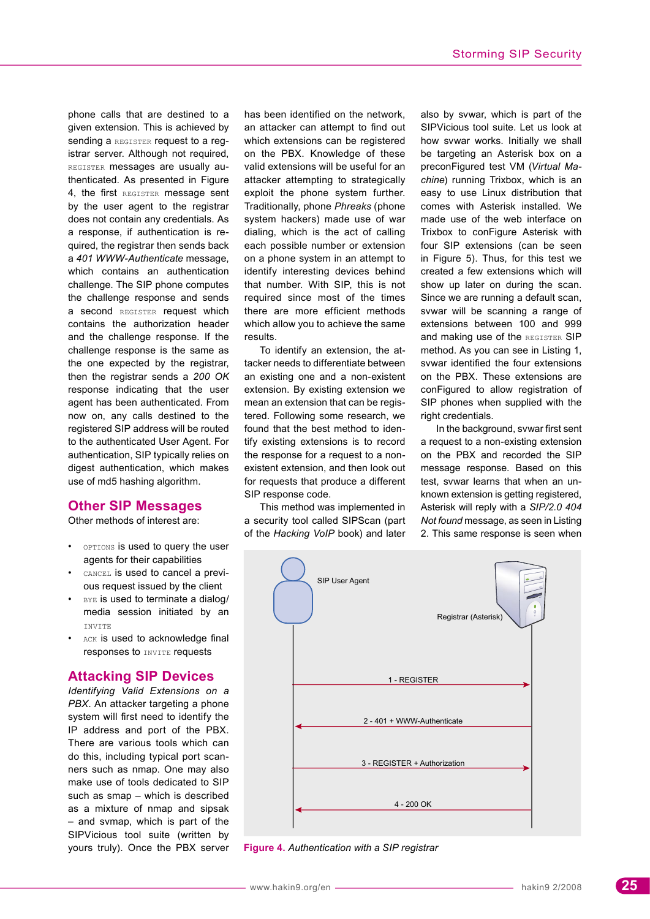phone calls that are destined to a given extension. This is achieved by sending a REGISTER request to a reqistrar server. Although not required, REGISTER messages are usually authenticated. As presented in Figure 4, the first REGISTER message sent by the user agent to the registrar does not contain any credentials. As a response, if authentication is required, the registrar then sends back a *401 WWW-Authenticate* message, which contains an authentication challenge. The SIP phone computes the challenge response and sends a second REGISTER request which contains the authorization header and the challenge response. If the challenge response is the same as the one expected by the registrar, then the registrar sends a *200 OK* response indicating that the user agent has been authenticated. From now on, any calls destined to the registered SIP address will be routed to the authenticated User Agent. For authentication, SIP typically relies on digest authentication, which makes use of md5 hashing algorithm.

# **Other SIP Messages**

Other methods of interest are:

- **OPTIONS** is used to query the user agents for their capabilities
- CANCEL is used to cancel a previous request issued by the client
- BYE is used to terminate a dialog/ media session initiated by an INVITE
- ACK is used to acknowledge final responses to INVITE requests

#### **Attacking SIP Devices**

*Identifying Valid Extensions on a PBX*. An attacker targeting a phone system will first need to identify the IP address and port of the PBX. There are various tools which can do this, including typical port scanners such as nmap. One may also make use of tools dedicated to SIP such as smap – which is described as a mixture of nmap and sipsak – and svmap, which is part of the SIPVicious tool suite (written by yours truly). Once the PBX server has been identified on the network, an attacker can attempt to find out which extensions can be registered on the PBX. Knowledge of these valid extensions will be useful for an attacker attempting to strategically exploit the phone system further. Traditionally, phone *Phreaks* (phone system hackers) made use of war dialing, which is the act of calling each possible number or extension on a phone system in an attempt to identify interesting devices behind that number. With SIP, this is not required since most of the times there are more efficient methods which allow you to achieve the same results.

To identify an extension, the attacker needs to differentiate between an existing one and a non-existent extension. By existing extension we mean an extension that can be registered. Following some research, we found that the best method to identify existing extensions is to record the response for a request to a nonexistent extension, and then look out for requests that produce a different SIP response code.

This method was implemented in a security tool called SIPScan (part of the *Hacking VoIP* book) and later also by svwar, which is part of the SIPVicious tool suite. Let us look at how svwar works. Initially we shall be targeting an Asterisk box on a preconFigured test VM (*Virtual Machine*) running Trixbox, which is an easy to use Linux distribution that comes with Asterisk installed. We made use of the web interface on Trixbox to conFigure Asterisk with four SIP extensions (can be seen in Figure 5). Thus, for this test we created a few extensions which will show up later on during the scan. Since we are running a default scan, svwar will be scanning a range of extensions between 100 and 999 and making use of the REGISTER SIP method. As you can see in Listing 1, svwar identified the four extensions on the PBX. These extensions are conFigured to allow registration of SIP phones when supplied with the right credentials.

In the background, svwar first sent a request to a non-existing extension on the PBX and recorded the SIP message response. Based on this test, svwar learns that when an unknown extension is getting registered, Asterisk will reply with a *SIP/2.0 404 Not found* message, as seen in Listing 2. This same response is seen when



**Figure 4.** *Authentication with a SIP registrar*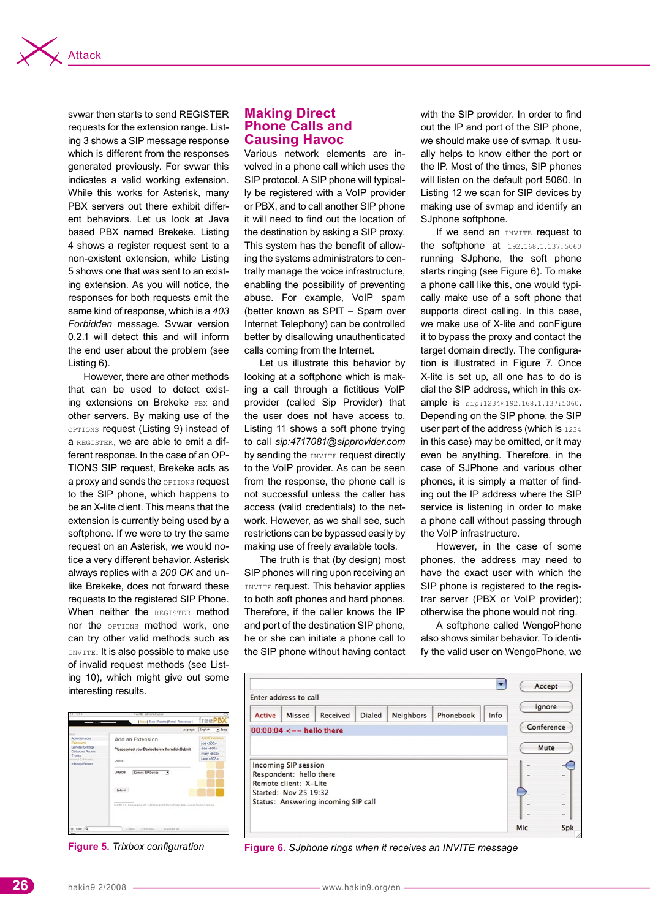

svwar then starts to send REGISTER requests for the extension range. Listing 3 shows a SIP message response which is different from the responses generated previously. For svwar this indicates a valid working extension. While this works for Asterisk, many PBX servers out there exhibit different behaviors. Let us look at Java based PBX named Brekeke. Listing 4 shows a register request sent to a non-existent extension, while Listing 5 shows one that was sent to an existing extension. As you will notice, the responses for both requests emit the same kind of response, which is a *403 Forbidden* message. Svwar version 0.2.1 will detect this and will inform the end user about the problem (see Listing 6).

However, there are other methods that can be used to detect existing extensions on Brekeke PBX and other servers. By making use of the OPTIONS request (Listing 9) instead of a REGISTER, we are able to emit a different response. In the case of an OP-TIONS SIP request, Brekeke acts as a proxy and sends the **OPTIONS** request to the SIP phone, which happens to be an X-lite client. This means that the extension is currently being used by a softphone. If we were to try the same request on an Asterisk, we would notice a very different behavior. Asterisk always replies with a *200 OK* and unlike Brekeke, does not forward these requests to the registered SIP Phone. When neither the REGISTER method nor the **OPTIONS** method work, one can try other valid methods such as INVITE. It is also possible to make use of invalid request methods (see Listing 10), which might give out some interesting results.

# **Making Direct Phone Calls and Causing Havoc**

Various network elements are involved in a phone call which uses the SIP protocol. A SIP phone will typically be registered with a VoIP provider or PBX, and to call another SIP phone it will need to find out the location of the destination by asking a SIP proxy. This system has the benefit of allowing the systems administrators to centrally manage the voice infrastructure, enabling the possibility of preventing abuse. For example, VoIP spam (better known as SPIT – Spam over Internet Telephony) can be controlled better by disallowing unauthenticated calls coming from the Internet.

Let us illustrate this behavior by looking at a softphone which is making a call through a fictitious VoIP provider (called Sip Provider) that the user does not have access to. Listing 11 shows a soft phone trying to call *sip:4717081@sipprovider.com* by sending the INVITE request directly to the VoIP provider. As can be seen from the response, the phone call is not successful unless the caller has access (valid credentials) to the network. However, as we shall see, such restrictions can be bypassed easily by making use of freely available tools.

The truth is that (by design) most SIP phones will ring upon receiving an INVITE request. This behavior applies to both soft phones and hard phones. Therefore, if the caller knows the IP and port of the destination SIP phone, he or she can initiate a phone call to the SIP phone without having contact with the SIP provider. In order to find out the IP and port of the SIP phone, we should make use of svmap. It usually helps to know either the port or the IP. Most of the times, SIP phones will listen on the default port 5060. In Listing 12 we scan for SIP devices by making use of svmap and identify an SJphone softphone.

If we send an INVITE request to the softphone at 192.168.1.137:5060 running SJphone, the soft phone starts ringing (see Figure 6). To make a phone call like this, one would typically make use of a soft phone that supports direct calling. In this case, we make use of X-lite and conFigure it to bypass the proxy and contact the target domain directly. The configuration is illustrated in Figure 7. Once X-lite is set up, all one has to do is dial the SIP address, which in this example is sip:1234@192.168.1.137:5060. Depending on the SIP phone, the SIP user part of the address (which is 1234 in this case) may be omitted, or it may even be anything. Therefore, in the case of SJPhone and various other phones, it is simply a matter of finding out the IP address where the SIP service is listening in order to make a phone call without passing through the VoIP infrastructure.

However, in the case of some phones, the address may need to have the exact user with which the SIP phone is registered to the registrar server (PBX or VoIP provider); otherwise the phone would not ring.

A softphone called WengoPhone also shows similar behavior. To identify the valid user on WengoPhone, we

| 000                                                                                                                                       | freePEX administration                                                                                                                                                                                                        |                                                                     |
|-------------------------------------------------------------------------------------------------------------------------------------------|-------------------------------------------------------------------------------------------------------------------------------------------------------------------------------------------------------------------------------|---------------------------------------------------------------------|
|                                                                                                                                           | Setus  Tools  Feports  Panel  Recordings                                                                                                                                                                                      | freePB)                                                             |
|                                                                                                                                           | Language:                                                                                                                                                                                                                     | English<br>· Setup                                                  |
| <b>MET</b><br>Administrators<br>Extensions<br>General Settings<br>Outbound Routes<br>Trunks<br>broat Cut Coracal<br><b>Inbound Routes</b> | Add an Extension<br>Please select your Device below then click Submit<br>Device .<br>Device<br>Generic SIP Device<br>э<br>Submit<br>ForFBI 2.2. Homoz and e GPs, 100 (superal Bill Passed copy, itema of worse Display Camera | Add Extensio<br>joe <500><br>doe $-501$<br>mary <502><br>iane <503> |
| ried Q<br>Drake                                                                                                                           | G. heat                                                                                                                                                                                                                       |                                                                     |



**Figure 5.** *Trixbox configuration* **Figure 6.** *SJphone rings when it receives an INVITE message*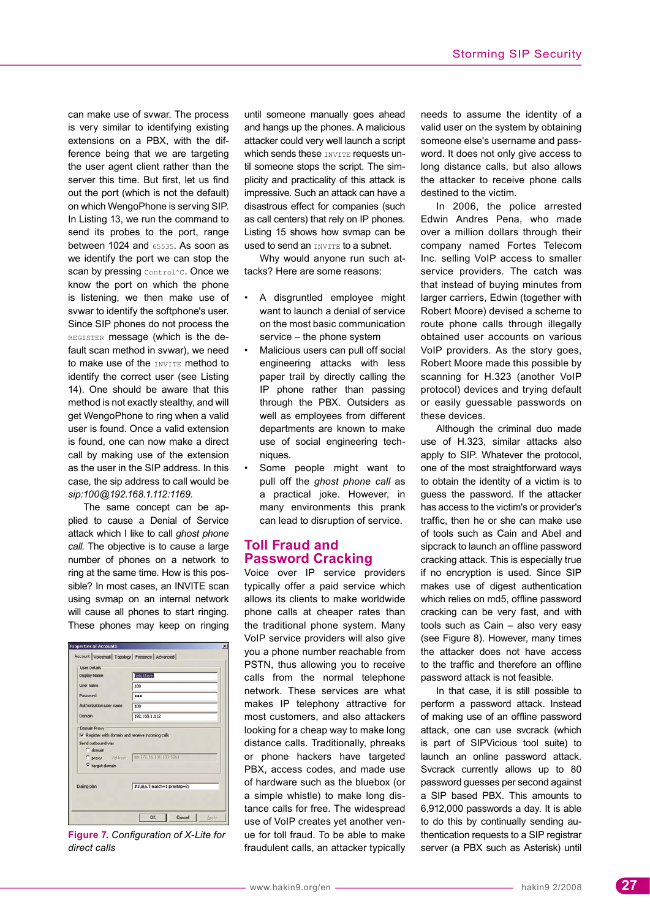can make use of svwar. The process is very similar to identifying existing extensions on a PBX, with the difference being that we are targeting the user agent client rather than the server this time. But first, let us find out the port (which is not the default) on which WengoPhone is serving SIP. In Listing 13, we run the command to send its probes to the port, range between 1024 and 65535. As soon as we identify the port we can stop the scan by pressing Control^C. Once we know the port on which the phone is listening, we then make use of svwar to identify the softphone's user. Since SIP phones do not process the REGISTER message (which is the default scan method in svwar), we need to make use of the INVITE method to identify the correct user (see Listing 14). One should be aware that this method is not exactly stealthy, and will get WengoPhone to ring when a valid user is found. Once a valid extension is found, one can now make a direct call by making use of the extension as the user in the SIP address. In this case, the sip address to call would be *sip:100@192.168.1.112:1169.*

The same concept can be applied to cause a Denial of Service attack which I like to call *ghost phone call*. The objective is to cause a large number of phones on a network to ring at the same time. How is this possible? In most cases, an INVITE scan using svmap on an internal network will cause all phones to start ringing. These phones may keep on ringing

**Figure 7.** *Configuration of X-Lite for direct calls*

until someone manually goes ahead and hangs up the phones. A malicious attacker could very well launch a script which sends these INVITE requests until someone stops the script. The simplicity and practicality of this attack is impressive. Such an attack can have a disastrous effect for companies (such as call centers) that rely on IP phones. Listing 15 shows how svmap can be used to send an **INVITE** to a subnet.

Why would anyone run such attacks? Here are some reasons:

- A disgruntled employee might want to launch a denial of service on the most basic communication service – the phone system
- Malicious users can pull off social engineering attacks with less paper trail by directly calling the IP phone rather than passing through the PBX. Outsiders as well as employees from different departments are known to make use of social engineering techniques.
- Some people might want to pull off the *ghost phone call* as a practical joke. However, in many environments this prank can lead to disruption of service.

# **Toll Fraud and Password Cracking**

Voice over IP service providers typically offer a paid service which allows its clients to make worldwide phone calls at cheaper rates than the traditional phone system. Many VoIP service providers will also give you a phone number reachable from PSTN, thus allowing you to receive calls from the normal telephone network. These services are what makes IP telephony attractive for most customers, and also attackers looking for a cheap way to make long distance calls. Traditionally, phreaks or phone hackers have targeted PBX, access codes, and made use of hardware such as the bluebox (or a simple whistle) to make long distance calls for free. The widespread use of VoIP creates yet another venue for toll fraud. To be able to make fraudulent calls, an attacker typically needs to assume the identity of a valid user on the system by obtaining someone else's username and password. It does not only give access to long distance calls, but also allows the attacker to receive phone calls destined to the victim.

In 2006, the police arrested Edwin Andres Pena, who made over a million dollars through their company named Fortes Telecom Inc. selling VoIP access to smaller service providers. The catch was that instead of buying minutes from larger carriers, Edwin (together with Robert Moore) devised a scheme to route phone calls through illegally obtained user accounts on various VoIP providers. As the story goes, Robert Moore made this possible by scanning for H.323 (another VoIP protocol) devices and trying default or easily guessable passwords on these devices.

Although the criminal duo made use of H.323, similar attacks also apply to SIP. Whatever the protocol, one of the most straightforward ways to obtain the identity of a victim is to guess the password. If the attacker has access to the victim's or provider's traffic, then he or she can make use of tools such as Cain and Abel and sipcrack to launch an offline password cracking attack. This is especially true if no encryption is used. Since SIP makes use of digest authentication which relies on md5, offline password cracking can be very fast, and with tools such as Cain – also very easy (see Figure 8). However, many times the attacker does not have access to the traffic and therefore an offline password attack is not feasible.

In that case, it is still possible to perform a password attack. Instead of making use of an offline password attack, one can use svcrack (which is part of SIPVicious tool suite) to launch an online password attack. Svcrack currently allows up to 80 password guesses per second against a SIP based PBX. This amounts to 6,912,000 passwords a day. It is able to do this by continually sending authentication requests to a SIP registrar server (a PBX such as Asterisk) until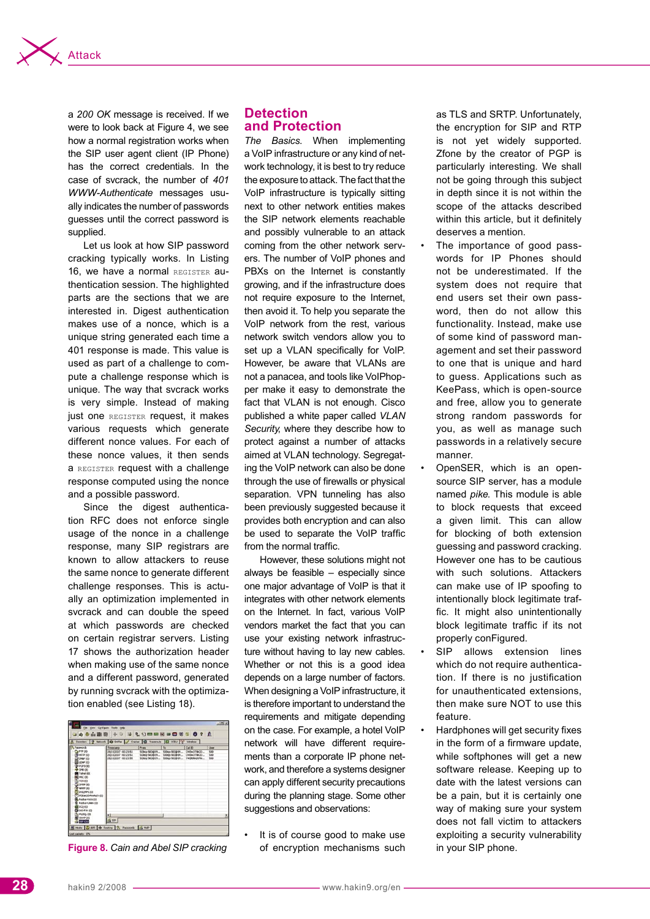![](_page_6_Picture_0.jpeg)

a *200 OK* message is received. If we were to look back at Figure 4, we see how a normal registration works when the SIP user agent client (IP Phone) has the correct credentials. In the case of svcrack, the number of *401 WWW-Authenticate* messages usually indicates the number of passwords guesses until the correct password is supplied.

Let us look at how SIP password cracking typically works. In Listing 16, we have a normal REGISTER authentication session. The highlighted parts are the sections that we are interested in. Digest authentication makes use of a nonce, which is a unique string generated each time a 401 response is made. This value is used as part of a challenge to compute a challenge response which is unique. The way that svcrack works is very simple. Instead of making just one REGISTER request, it makes various requests which generate different nonce values. For each of these nonce values, it then sends a REGISTER request with a challenge response computed using the nonce and a possible password.

Since the digest authentication RFC does not enforce single usage of the nonce in a challenge response, many SIP registrars are known to allow attackers to reuse the same nonce to generate different challenge responses. This is actually an optimization implemented in svcrack and can double the speed at which passwords are checked on certain registrar servers. Listing 17 shows the authorization header when making use of the same nonce and a different password, generated by running svcrack with the optimization enabled (see Listing 18).

![](_page_6_Figure_4.jpeg)

## **Detection and Protection**

*The Basics*. When implementing a VoIP infrastructure or any kind of network technology, it is best to try reduce the exposure to attack. The fact that the VoIP infrastructure is typically sitting next to other network entities makes the SIP network elements reachable and possibly vulnerable to an attack coming from the other network servers. The number of VoIP phones and PBXs on the Internet is constantly growing, and if the infrastructure does not require exposure to the Internet, then avoid it. To help you separate the VoIP network from the rest, various network switch vendors allow you to set up a VLAN specifically for VoIP. However, be aware that VLANs are not a panacea, and tools like VoIPhopper make it easy to demonstrate the fact that VLAN is not enough. Cisco published a white paper called *VLAN Security*, where they describe how to protect against a number of attacks aimed at VLAN technology. Segregating the VoIP network can also be done through the use of firewalls or physical separation. VPN tunneling has also been previously suggested because it provides both encryption and can also be used to separate the VoIP traffic from the normal traffic.

However, these solutions might not always be feasible – especially since one major advantage of VoIP is that it integrates with other network elements on the Internet. In fact, various VoIP vendors market the fact that you can use your existing network infrastructure without having to lay new cables. Whether or not this is a good idea depends on a large number of factors. When designing a VoIP infrastructure, it is therefore important to understand the requirements and mitigate depending on the case. For example, a hotel VoIP network will have different requirements than a corporate IP phone network, and therefore a systems designer can apply different security precautions during the planning stage. Some other suggestions and observations:

It is of course good to make use of encryption mechanisms such **Figure 8. Cain and Abel SIP cracking** of encryption mechanisms such in your SIP phone.

as TLS and SRTP. Unfortunately, the encryption for SIP and RTP is not yet widely supported. Zfone by the creator of PGP is particularly interesting. We shall not be going through this subject in depth since it is not within the scope of the attacks described within this article, but it definitely deserves a mention.

- The importance of good passwords for IP Phones should not be underestimated. If the system does not require that end users set their own password, then do not allow this functionality. Instead, make use of some kind of password management and set their password to one that is unique and hard to guess. Applications such as KeePass, which is open-source and free, allow you to generate strong random passwords for you, as well as manage such passwords in a relatively secure manner.
- OpenSER, which is an opensource SIP server, has a module named *pike*. This module is able to block requests that exceed a given limit. This can allow for blocking of both extension guessing and password cracking. However one has to be cautious with such solutions. Attackers can make use of IP spoofing to intentionally block legitimate traffic. It might also unintentionally block legitimate traffic if its not properly conFigured.
- SIP allows extension lines which do not require authentication. If there is no justification for unauthenticated extensions, then make sure NOT to use this feature.
- Hardphones will get security fixes in the form of a firmware update, while softphones will get a new software release. Keeping up to date with the latest versions can be a pain, but it is certainly one way of making sure your system does not fall victim to attackers exploiting a security vulnerability